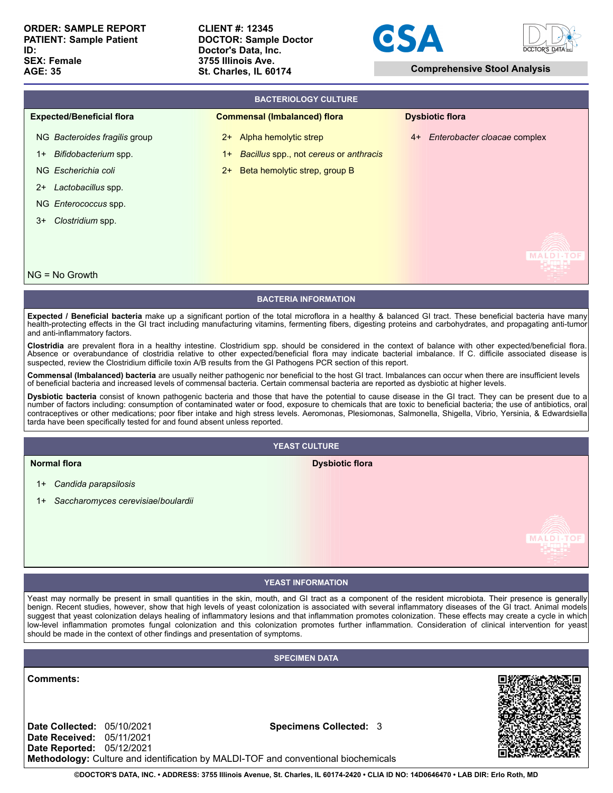**CLIENT #: 12345 DOCTOR: Sample Doctor Doctor's Data, Inc. 3755 Illinois Ave. St. Charles, IL 60174 Comprehensive Stool Analysis**





| <b>BACTERIOLOGY CULTURE</b>      |                                                |  |                                      |  |
|----------------------------------|------------------------------------------------|--|--------------------------------------|--|
| <b>Expected/Beneficial flora</b> | <b>Commensal (Imbalanced) flora</b>            |  | <b>Dysbiotic flora</b>               |  |
| NG Bacteroides fragilis group    | Alpha hemolytic strep<br>$2+$                  |  | Enterobacter cloacae complex<br>$4+$ |  |
| Bifidobacterium spp.<br>$1+$     | Bacillus spp., not cereus or anthracis<br>$1+$ |  |                                      |  |
| NG Escherichia coli              | Beta hemolytic strep, group B<br>$2+$          |  |                                      |  |
| Lactobacillus spp.<br>$2+$       |                                                |  |                                      |  |
| NG Enterococcus spp.             |                                                |  |                                      |  |
| Clostridium spp.<br>$3+$         |                                                |  |                                      |  |
|                                  |                                                |  |                                      |  |
|                                  |                                                |  |                                      |  |
| $NG = No$ Growth                 |                                                |  |                                      |  |

## **BACTERIA INFORMATION**

**Expected / Beneficial bacteria** make up a significant portion of the total microflora in a healthy & balanced GI tract. These beneficial bacteria have many health-protecting effects in the GI tract including manufacturing vitamins, fermenting fibers, digesting proteins and carbohydrates, and propagating anti-tumor and anti-inflammatory factors.

**Clostridia** are prevalent flora in a healthy intestine. Clostridium spp. should be considered in the context of balance with other expected/beneficial flora. Absence or overabundance of clostridia relative to other expected/beneficial flora may indicate bacterial imbalance. If C. difficile associated disease is suspected, review the Clostridium difficile toxin A/B results from the GI Pathogens PCR section of this report.

**Commensal (Imbalanced) bacteria** are usually neither pathogenic nor beneficial to the host GI tract. Imbalances can occur when there are insufficient levels of beneficial bacteria and increased levels of commensal bacteria. Certain commensal bacteria are reported as dysbiotic at higher levels.

**Dysbiotic bacteria** consist of known pathogenic bacteria and those that have the potential to cause disease in the GI tract. They can be present due to a<br>number of factors including: consumption of contaminated water or f contraceptives or other medications; poor fiber intake and high stress levels. Aeromonas, Plesiomonas, Salmonella, Shigella, Vibrio, Yersinia, & Edwardsiella tarda have been specifically tested for and found absent unless reported.

## **YEAST CULTURE**

# **Dysbiotic flora**

1+ *Candida parapsilosis*

**Normal flora**

1+ *Saccharomyces cerevisiae*/*boulardii*

#### **YEAST INFORMATION**

Yeast may normally be present in small quantities in the skin, mouth, and GI tract as a component of the resident microbiota. Their presence is generally benign. Recent studies, however, show that high levels of yeast colonization is associated with several inflammatory diseases of the GI tract. Animal models suggest that yeast colonization delays healing of inflammatory lesions and that inflammation promotes colonization. These effects may create a cycle in which low-level inflammation promotes fungal colonization and this colonization promotes further inflammation. Consideration of clinical intervention for yeast should be made in the context of other findings and presentation of symptoms.

# **SPECIMEN DATA**

**Comments:**

**Date Collected:** 05/10/2021 **Date Received:** 05/11/2021 **Date Reported:** 05/12/2021 **Specimens Collected:** 3



**MALDI-TOF** 

**Methodology:** Culture and identification by MALDI-TOF and conventional biochemicals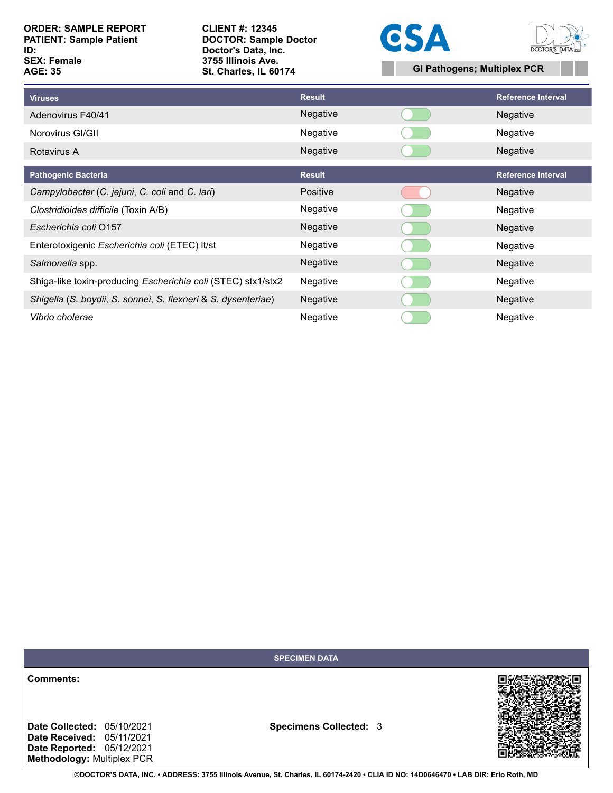**CLIENT #: 12345 DOCTOR: Sample Doctor Doctor's Data, Inc. 3755 Illinois Ave. St. Charles, IL 60174 GI Pathogens; Multiplex PCR**





| <b>Viruses</b>                                                | <b>Result</b>   | <b>Reference Interval</b> |
|---------------------------------------------------------------|-----------------|---------------------------|
| Adenovirus F40/41                                             | Negative        | Negative                  |
| Norovirus GI/GII                                              | Negative        | Negative                  |
| Rotavirus A                                                   | Negative        | Negative                  |
| <b>Pathogenic Bacteria</b>                                    | <b>Result</b>   | <b>Reference Interval</b> |
| Campylobacter (C. jejuni, C. coli and C. lari)                | Positive        | Negative                  |
| Clostridioides difficile (Toxin A/B)                          | Negative        | Negative                  |
| Escherichia coli 0157                                         | Negative        | Negative                  |
| Enterotoxigenic Escherichia coli (ETEC) It/st                 | Negative        | Negative                  |
| Salmonella spp.                                               | Negative        | Negative                  |
| Shiga-like toxin-producing Escherichia coli (STEC) stx1/stx2  | Negative        | Negative                  |
| Shigella (S. boydii, S. sonnei, S. flexneri & S. dysenteriae) | Negative        | Negative                  |
| Vibrio cholerae                                               | <b>Negative</b> | Negative                  |

**SPECIMEN DATA**

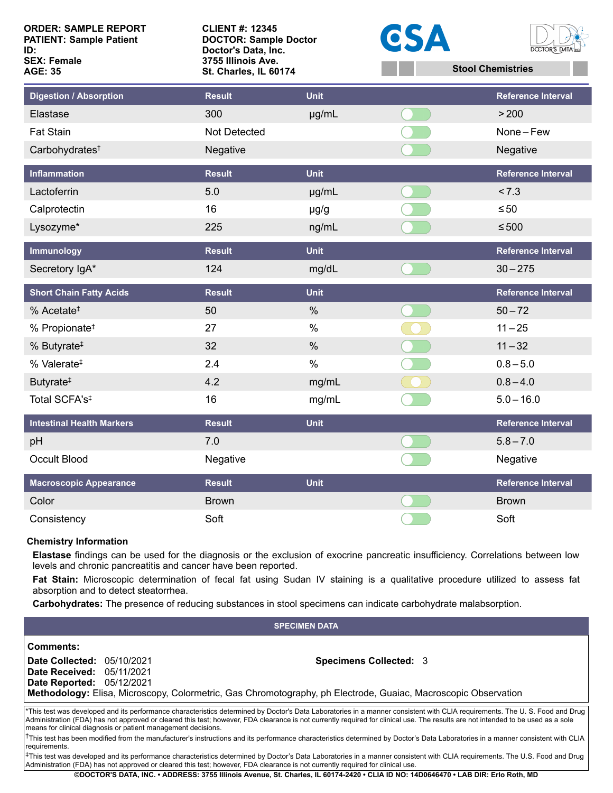| <b>ORDER: SAMPLE REPORT</b><br><b>PATIENT: Sample Patient</b><br>ID:<br><b>SEX: Female</b><br><b>AGE: 35</b> | <b>CLIENT #: 12345</b><br><b>DOCTOR: Sample Doctor</b><br>Doctor's Data, Inc.<br>3755 Illinois Ave.<br>St. Charles, IL 60174 |               | CSA | <b>DOCTOR'S DATA</b><br><b>Stool Chemistries</b> |
|--------------------------------------------------------------------------------------------------------------|------------------------------------------------------------------------------------------------------------------------------|---------------|-----|--------------------------------------------------|
| Digestion / Absorption                                                                                       | <b>Result</b>                                                                                                                | <b>Unit</b>   |     | <b>Reference Interval</b>                        |
| Elastase                                                                                                     | 300                                                                                                                          | $\mu$ g/mL    |     | > 200                                            |
| <b>Fat Stain</b>                                                                                             | Not Detected                                                                                                                 |               |     | None-Few                                         |
| Carbohydrates <sup>†</sup>                                                                                   | Negative                                                                                                                     |               |     | Negative                                         |
| <b>Inflammation</b>                                                                                          | <b>Result</b>                                                                                                                | <b>Unit</b>   |     | <b>Reference Interval</b>                        |
| Lactoferrin                                                                                                  | 5.0                                                                                                                          | µg/mL         |     | < 7.3                                            |
| Calprotectin                                                                                                 | 16                                                                                                                           | $\mu$ g/g     |     | $\leq 50$                                        |
| Lysozyme*                                                                                                    | 225                                                                                                                          | ng/mL         |     | $\leq 500$                                       |
| Immunology                                                                                                   | <b>Result</b>                                                                                                                | <b>Unit</b>   |     | <b>Reference Interval</b>                        |
| Secretory IgA*                                                                                               | 124                                                                                                                          | mg/dL         |     | $30 - 275$                                       |
| <b>Short Chain Fatty Acids</b>                                                                               | <b>Result</b>                                                                                                                | <b>Unit</b>   |     | <b>Reference Interval</b>                        |
| % Acetate <sup><math>‡</math></sup>                                                                          | 50                                                                                                                           | $\frac{0}{0}$ |     | $50 - 72$                                        |
| % Propionate <sup>#</sup>                                                                                    | 27                                                                                                                           | $\%$          |     | $11 - 25$                                        |
| % Butyrate <sup>#</sup>                                                                                      | 32                                                                                                                           | $\%$          |     | $11 - 32$                                        |
| % Valerate <sup>#</sup>                                                                                      | 2.4                                                                                                                          | $\%$          |     | $0.8 - 5.0$                                      |
| Butyrate <sup>#</sup>                                                                                        | 4.2                                                                                                                          | mg/mL         |     | $0.8 - 4.0$                                      |
| Total SCFA's <sup>‡</sup>                                                                                    | 16                                                                                                                           | mg/mL         |     | $5.0 - 16.0$                                     |
| <b>Intestinal Health Markers</b>                                                                             | <b>Result</b>                                                                                                                | <b>Unit</b>   |     | <b>Reference Interval</b>                        |
| pH                                                                                                           | 7.0                                                                                                                          |               |     | $5.8 - 7.0$                                      |
| <b>Occult Blood</b>                                                                                          | Negative                                                                                                                     |               |     | Negative                                         |
| <b>Macroscopic Appearance</b>                                                                                | <b>Result</b>                                                                                                                | <b>Unit</b>   |     | <b>Reference Interval</b>                        |
| Color                                                                                                        | <b>Brown</b>                                                                                                                 |               |     | <b>Brown</b>                                     |
| Consistency                                                                                                  | Soft                                                                                                                         |               |     | Soft                                             |

# **Chemistry Information**

**Elastase** findings can be used for the diagnosis or the exclusion of exocrine pancreatic insufficiency. Correlations between low levels and chronic pancreatitis and cancer have been reported.

**Fat Stain:** Microscopic determination of fecal fat using Sudan IV staining is a qualitative procedure utilized to assess fat absorption and to detect steatorrhea.

**Carbohydrates:** The presence of reducing substances in stool specimens can indicate carbohydrate malabsorption.

| <b>SPECIMEN DATA</b>                                                                                                                                                                                                                                                                                                                                                                                                             |  |                                                                                                                                                 |  |  |  |
|----------------------------------------------------------------------------------------------------------------------------------------------------------------------------------------------------------------------------------------------------------------------------------------------------------------------------------------------------------------------------------------------------------------------------------|--|-------------------------------------------------------------------------------------------------------------------------------------------------|--|--|--|
| Comments:                                                                                                                                                                                                                                                                                                                                                                                                                        |  |                                                                                                                                                 |  |  |  |
| <b>Date Collected: 05/10/2021</b><br><b>Date Received: 05/11/2021</b><br><b>Date Reported: 05/12/2021</b>                                                                                                                                                                                                                                                                                                                        |  | <b>Specimens Collected: 3</b><br>Methodology: Elisa, Microscopy, Colormetric, Gas Chromotography, ph Electrode, Guaiac, Macroscopic Observation |  |  |  |
|                                                                                                                                                                                                                                                                                                                                                                                                                                  |  |                                                                                                                                                 |  |  |  |
| *This test was developed and its performance characteristics determined by Doctor's Data Laboratories in a manner consistent with CLIA requirements. The U.S. Food and Drug<br>Administration (FDA) has not approved or cleared this test; however, FDA clearance is not currently required for clinical use. The results are not intended to be used as a sole<br>means for clinical diagnosis or patient management decisions. |  |                                                                                                                                                 |  |  |  |
| $^\dagger$ This test has been modified from the manufacturer's instructions and its performance characteristics determined by Doctor's Data Laboratories in a manner consistent with CLIA<br>requirements.                                                                                                                                                                                                                       |  |                                                                                                                                                 |  |  |  |

‡This test was developed and its performance characteristics determined by Doctor's Data Laboratories in a manner consistent with CLIA requirements. The U.S. Food and Drug Administration (FDA) has not approved or cleared this test; however, FDA clearance is not currently required for clinical use.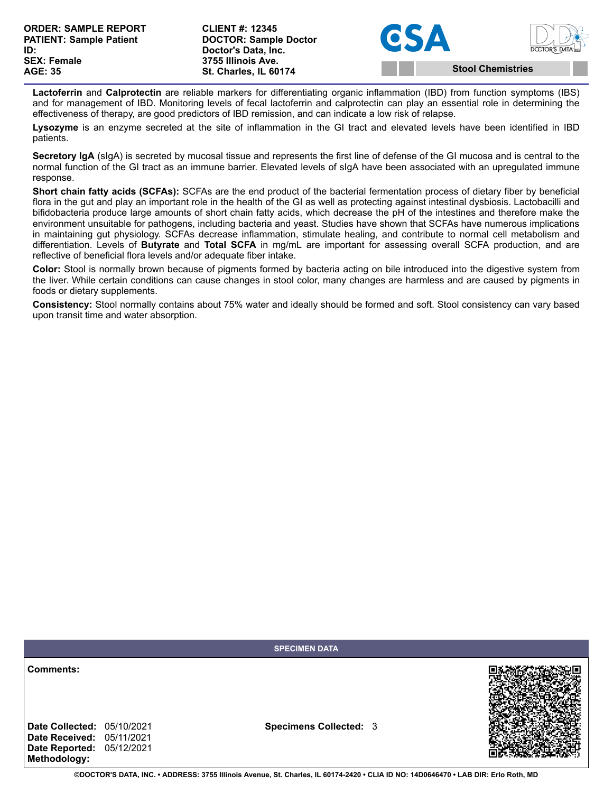**CLIENT #: 12345 DOCTOR: Sample Doctor Doctor's Data, Inc. 3755 Illinois Ave. St. Charles, IL 60174 Stool Chemistries**





**Lactoferrin** and **Calprotectin** are reliable markers for differentiating organic inflammation (IBD) from function symptoms (IBS) and for management of IBD. Monitoring levels of fecal lactoferrin and calprotectin can play an essential role in determining the effectiveness of therapy, are good predictors of IBD remission, and can indicate a low risk of relapse.

**Lysozyme** is an enzyme secreted at the site of inflammation in the GI tract and elevated levels have been identified in IBD patients.

**Secretory IgA** (sIgA) is secreted by mucosal tissue and represents the first line of defense of the GI mucosa and is central to the normal function of the GI tract as an immune barrier. Elevated levels of sIgA have been associated with an upregulated immune response.

**Short chain fatty acids (SCFAs):** SCFAs are the end product of the bacterial fermentation process of dietary fiber by beneficial flora in the gut and play an important role in the health of the GI as well as protecting against intestinal dysbiosis. Lactobacilli and bifidobacteria produce large amounts of short chain fatty acids, which decrease the pH of the intestines and therefore make the environment unsuitable for pathogens, including bacteria and yeast. Studies have shown that SCFAs have numerous implications in maintaining gut physiology. SCFAs decrease inflammation, stimulate healing, and contribute to normal cell metabolism and differentiation. Levels of **Butyrate** and **Total SCFA** in mg/mL are important for assessing overall SCFA production, and are reflective of beneficial flora levels and/or adequate fiber intake.

**Color:** Stool is normally brown because of pigments formed by bacteria acting on bile introduced into the digestive system from the liver. While certain conditions can cause changes in stool color, many changes are harmless and are caused by pigments in foods or dietary supplements.

**Consistency:** Stool normally contains about 75% water and ideally should be formed and soft. Stool consistency can vary based upon transit time and water absorption.

|                                                                               | <b>SPECIMEN DATA</b>          |  |
|-------------------------------------------------------------------------------|-------------------------------|--|
| Comments:<br><b>Date Collected: 05/10/2021</b>                                | <b>Specimens Collected: 3</b> |  |
| <b>Date Received: 05/11/2021</b><br>Date Reported: 05/12/2021<br>Methodology: |                               |  |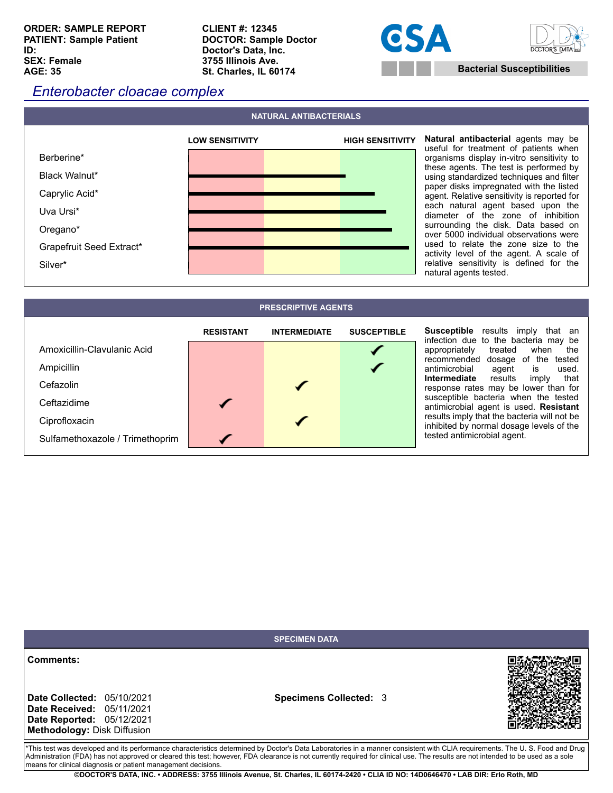**ORDER: SAMPLE REPORT PATIENT: Sample Patient ID: SEX: Female AGE: 35**

**CLIENT #: 12345 DOCTOR: Sample Doctor Doctor's Data, Inc. 3755 Illinois Ave. St. Charles, IL 60174 Bacterial Susceptibilities** 





# *Enterobacter cloacae complex*



**Natural antibacterial** agents may be useful for treatment of patients when organisms display in-vitro sensitivity to these agents. The test is performed by using standardized techniques and filter paper disks impregnated with the listed agent. Relative sensitivity is reported for each natural agent based upon the diameter of the zone of inhibition surrounding the disk. Data based on over 5000 individual observations were used to relate the zone size to the activity level of the agent. A scale of relative sensitivity is defined for the natural agents tested.

| <b>PRESCRIPTIVE AGENTS</b>      |                  |                     |                    |                                                                                         |
|---------------------------------|------------------|---------------------|--------------------|-----------------------------------------------------------------------------------------|
|                                 | <b>RESISTANT</b> | <b>INTERMEDIATE</b> | <b>SUSCEPTIBLE</b> | <b>Susceptible</b> results imply<br>that an<br>infection due to the bacteria may be     |
| Amoxicillin-Clavulanic Acid     |                  |                     |                    | treated when<br>appropriately<br>the                                                    |
| Ampicillin                      |                  |                     |                    | recommended dosage of the tested<br>antimicrobial<br>used.<br>agent is                  |
| Cefazolin                       |                  |                     |                    | Intermediate results<br>that<br>imply<br>response rates may be lower than for           |
| Ceftazidime                     |                  |                     |                    | susceptible bacteria when the tested<br>antimicrobial agent is used. Resistant          |
| Ciprofloxacin                   |                  |                     |                    | results imply that the bacteria will not be<br>inhibited by normal dosage levels of the |
| Sulfamethoxazole / Trimethoprim |                  |                     |                    | tested antimicrobial agent.                                                             |

|                                                                                                                                                                                                                                                                                                                                                                                                                                  | <b>SPECIMEN DATA</b>          |  |  |
|----------------------------------------------------------------------------------------------------------------------------------------------------------------------------------------------------------------------------------------------------------------------------------------------------------------------------------------------------------------------------------------------------------------------------------|-------------------------------|--|--|
| Comments:<br><b>Date Collected: 05/10/2021</b><br><b>Date Received: 05/11/2021</b><br>Date Reported: 05/12/2021<br>Methodology: Disk Diffusion                                                                                                                                                                                                                                                                                   | <b>Specimens Collected: 3</b> |  |  |
| *This test was developed and its performance characteristics determined by Doctor's Data Laboratories in a manner consistent with CLIA requirements. The U.S. Food and Drug<br>Administration (FDA) has not approved or cleared this test; however, FDA clearance is not currently required for clinical use. The results are not intended to be used as a sole<br>means for clinical diagnosis or patient management decisions. |                               |  |  |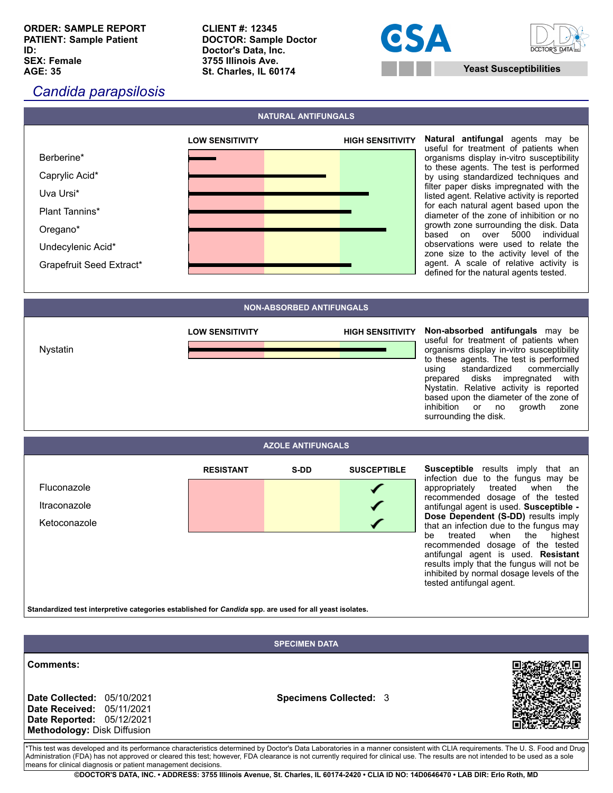**ORDER: SAMPLE REPORT PATIENT: Sample Patient ID: SEX: Female AGE: 35**

**CLIENT #: 12345 DOCTOR: Sample Doctor Doctor's Data, Inc. 3755 Illinois Ave. St. Charles, IL 60174 Yeast Susceptibilities**





# *Candida parapsilosis*



useful for treatment of patients when organisms display in-vitro susceptibility to these agents. The test is performed by using standardized techniques and filter paper disks impregnated with the listed agent. Relative activity is reported for each natural agent based upon the diameter of the zone of inhibition or no growth zone surrounding the disk. Data based on over 5000 individual observations were used to relate the zone size to the activity level of the agent. A scale of relative activity is defined for the natural agents tested.

**NON-ABSORBED ANTIFUNGALS**

**NATURAL ANTIFUNGALS**



useful for treatment of patients when organisms display in-vitro susceptibility to these agents. The test is performed using standardized commercially prepared disks impregnated with Nystatin. Relative activity is reported based upon the diameter of the zone of inhibition or no growth zone surrounding the disk.

# **AZOLE ANTIFUNGALS**



**Susceptible** results imply that an infection due to the fungus may be appropriately treated when the recommended dosage of the tested antifungal agent is used. **Susceptible - Dose Dependent (S-DD)** results imply that an infection due to the fungus may<br>be treated when the highest treated when the highest recommended dosage of the tested antifungal agent is used. **Resistant** results imply that the fungus will not be inhibited by normal dosage levels of the tested antifungal agent.

**Standardized test interpretive categories established for** *Candida* **spp. are used for all yeast isolates.**

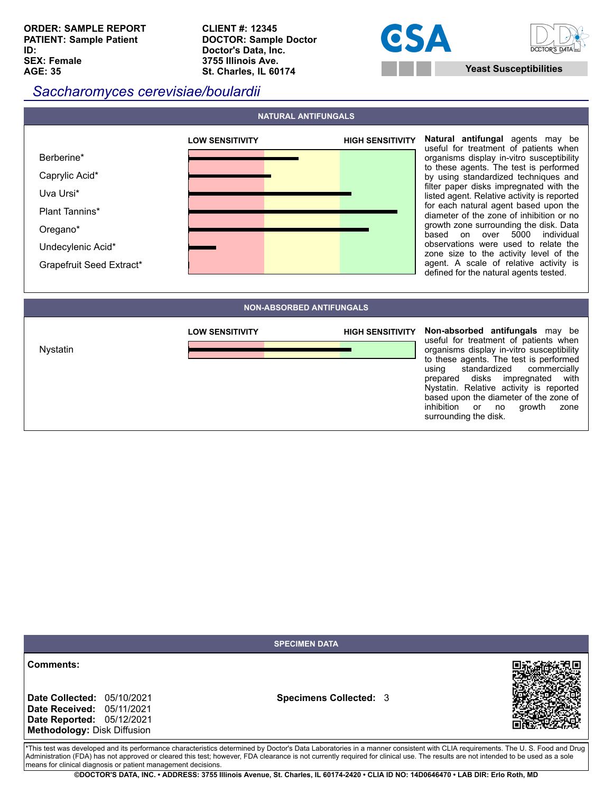**CLIENT #: 12345 DOCTOR: Sample Doctor Doctor's Data, Inc. 3755 Illinois Ave. St. Charles, IL 60174 Yeast Susceptibilities**





# *Saccharomyces cerevisiae/boulardii*



**Natural antifungal** agents may be useful for treatment of patients when organisms display in-vitro susceptibility to these agents. The test is performed by using standardized techniques and filter paper disks impregnated with the listed agent. Relative activity is reported for each natural agent based upon the diameter of the zone of inhibition or no growth zone surrounding the disk. Data based on over 5000 individual observations were used to relate the zone size to the activity level of the agent. A scale of relative activity is defined for the natural agents tested.

# **NON-ABSORBED ANTIFUNGALS**



**Non-absorbed antifungals** may be useful for treatment of patients when organisms display in-vitro susceptibility to these agents. The test is performed using standardized commercially prepared disks impregnated with Nystatin. Relative activity is reported based upon the diameter of the zone of<br>inhibition or no growth zone inhibition or no growth zone surrounding the disk.

|                                                                                                                                                                                                                                                                                                                                                                                                                                  | <b>SPECIMEN DATA</b>          |  |  |
|----------------------------------------------------------------------------------------------------------------------------------------------------------------------------------------------------------------------------------------------------------------------------------------------------------------------------------------------------------------------------------------------------------------------------------|-------------------------------|--|--|
| Comments:<br><b>Date Collected: 05/10/2021</b><br><b>Date Received: 05/11/2021</b><br><b>Date Reported: 05/12/2021</b><br>Methodology: Disk Diffusion                                                                                                                                                                                                                                                                            | <b>Specimens Collected: 3</b> |  |  |
| *This test was developed and its performance characteristics determined by Doctor's Data Laboratories in a manner consistent with CLIA requirements. The U.S. Food and Drug<br>Administration (FDA) has not approved or cleared this test; however, FDA clearance is not currently required for clinical use. The results are not intended to be used as a sole<br>means for clinical diagnosis or patient management decisions. |                               |  |  |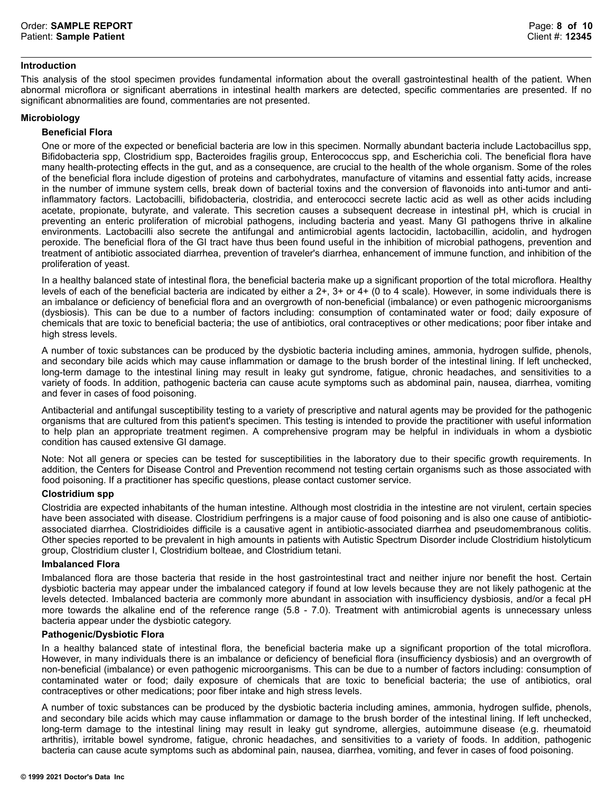# **Introduction**

This analysis of the stool specimen provides fundamental information about the overall gastrointestinal health of the patient. When abnormal microflora or significant aberrations in intestinal health markers are detected, specific commentaries are presented. If no significant abnormalities are found, commentaries are not presented.

# **Microbiology**

# **Beneficial Flora**

One or more of the expected or beneficial bacteria are low in this specimen. Normally abundant bacteria include Lactobacillus spp, Bifidobacteria spp, Clostridium spp, Bacteroides fragilis group, Enterococcus spp, and Escherichia coli. The beneficial flora have many health-protecting effects in the gut, and as a consequence, are crucial to the health of the whole organism. Some of the roles of the beneficial flora include digestion of proteins and carbohydrates, manufacture of vitamins and essential fatty acids, increase in the number of immune system cells, break down of bacterial toxins and the conversion of flavonoids into anti-tumor and antiinflammatory factors. Lactobacilli, bifidobacteria, clostridia, and enterococci secrete lactic acid as well as other acids including acetate, propionate, butyrate, and valerate. This secretion causes a subsequent decrease in intestinal pH, which is crucial in preventing an enteric proliferation of microbial pathogens, including bacteria and yeast. Many GI pathogens thrive in alkaline environments. Lactobacilli also secrete the antifungal and antimicrobial agents lactocidin, lactobacillin, acidolin, and hydrogen peroxide. The beneficial flora of the GI tract have thus been found useful in the inhibition of microbial pathogens, prevention and treatment of antibiotic associated diarrhea, prevention of traveler's diarrhea, enhancement of immune function, and inhibition of the proliferation of yeast.

In a healthy balanced state of intestinal flora, the beneficial bacteria make up a significant proportion of the total microflora. Healthy levels of each of the beneficial bacteria are indicated by either a 2+, 3+ or 4+ (0 to 4 scale). However, in some individuals there is an imbalance or deficiency of beneficial flora and an overgrowth of non-beneficial (imbalance) or even pathogenic microorganisms (dysbiosis). This can be due to a number of factors including: consumption of contaminated water or food; daily exposure of chemicals that are toxic to beneficial bacteria; the use of antibiotics, oral contraceptives or other medications; poor fiber intake and high stress levels.

A number of toxic substances can be produced by the dysbiotic bacteria including amines, ammonia, hydrogen sulfide, phenols, and secondary bile acids which may cause inflammation or damage to the brush border of the intestinal lining. If left unchecked, long-term damage to the intestinal lining may result in leaky gut syndrome, fatigue, chronic headaches, and sensitivities to a variety of foods. In addition, pathogenic bacteria can cause acute symptoms such as abdominal pain, nausea, diarrhea, vomiting and fever in cases of food poisoning.

Antibacterial and antifungal susceptibility testing to a variety of prescriptive and natural agents may be provided for the pathogenic organisms that are cultured from this patient's specimen. This testing is intended to provide the practitioner with useful information to help plan an appropriate treatment regimen. A comprehensive program may be helpful in individuals in whom a dysbiotic condition has caused extensive GI damage.

Note: Not all genera or species can be tested for susceptibilities in the laboratory due to their specific growth requirements. In addition, the Centers for Disease Control and Prevention recommend not testing certain organisms such as those associated with food poisoning. If a practitioner has specific questions, please contact customer service.

# **Clostridium spp**

Clostridia are expected inhabitants of the human intestine. Although most clostridia in the intestine are not virulent, certain species have been associated with disease. Clostridium perfringens is a major cause of food poisoning and is also one cause of antibioticassociated diarrhea. Clostridioides difficile is a causative agent in antibiotic-associated diarrhea and pseudomembranous colitis. Other species reported to be prevalent in high amounts in patients with Autistic Spectrum Disorder include Clostridium histolyticum group, Clostridium cluster I, Clostridium bolteae, and Clostridium tetani.

#### **Imbalanced Flora**

Imbalanced flora are those bacteria that reside in the host gastrointestinal tract and neither injure nor benefit the host. Certain dysbiotic bacteria may appear under the imbalanced category if found at low levels because they are not likely pathogenic at the levels detected. Imbalanced bacteria are commonly more abundant in association with insufficiency dysbiosis, and/or a fecal pH more towards the alkaline end of the reference range (5.8 - 7.0). Treatment with antimicrobial agents is unnecessary unless bacteria appear under the dysbiotic category.

# **Pathogenic/Dysbiotic Flora**

In a healthy balanced state of intestinal flora, the beneficial bacteria make up a significant proportion of the total microflora. However, in many individuals there is an imbalance or deficiency of beneficial flora (insufficiency dysbiosis) and an overgrowth of non-beneficial (imbalance) or even pathogenic microorganisms. This can be due to a number of factors including: consumption of contaminated water or food; daily exposure of chemicals that are toxic to beneficial bacteria; the use of antibiotics, oral contraceptives or other medications; poor fiber intake and high stress levels.

A number of toxic substances can be produced by the dysbiotic bacteria including amines, ammonia, hydrogen sulfide, phenols, and secondary bile acids which may cause inflammation or damage to the brush border of the intestinal lining. If left unchecked, long-term damage to the intestinal lining may result in leaky gut syndrome, allergies, autoimmune disease (e.g. rheumatoid arthritis), irritable bowel syndrome, fatigue, chronic headaches, and sensitivities to a variety of foods. In addition, pathogenic bacteria can cause acute symptoms such as abdominal pain, nausea, diarrhea, vomiting, and fever in cases of food poisoning.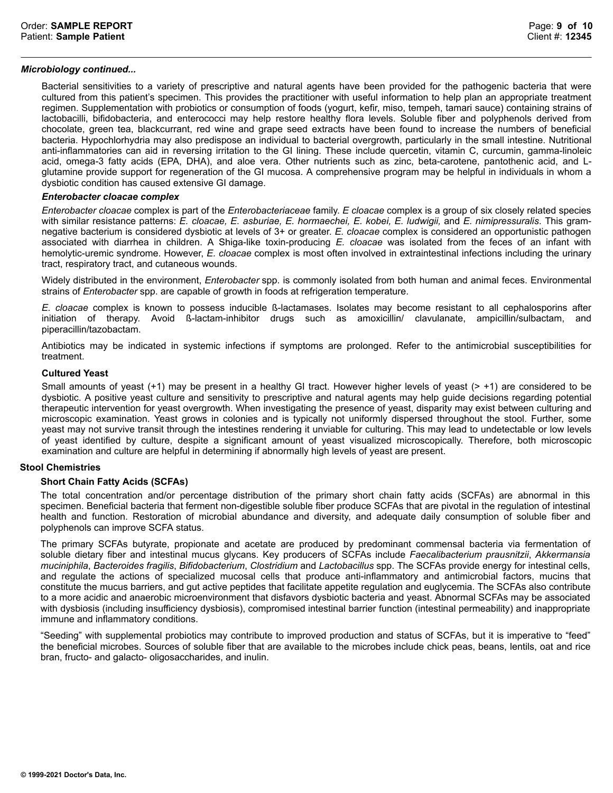# *Microbiology continued...*

Bacterial sensitivities to a variety of prescriptive and natural agents have been provided for the pathogenic bacteria that were cultured from this patient's specimen. This provides the practitioner with useful information to help plan an appropriate treatment regimen. Supplementation with probiotics or consumption of foods (yogurt, kefir, miso, tempeh, tamari sauce) containing strains of lactobacilli, bifidobacteria, and enterococci may help restore healthy flora levels. Soluble fiber and polyphenols derived from chocolate, green tea, blackcurrant, red wine and grape seed extracts have been found to increase the numbers of beneficial bacteria. Hypochlorhydria may also predispose an individual to bacterial overgrowth, particularly in the small intestine. Nutritional anti-inflammatories can aid in reversing irritation to the GI lining. These include quercetin, vitamin C, curcumin, gamma-linoleic acid, omega-3 fatty acids (EPA, DHA), and aloe vera. Other nutrients such as zinc, beta-carotene, pantothenic acid, and Lglutamine provide support for regeneration of the GI mucosa. A comprehensive program may be helpful in individuals in whom a dysbiotic condition has caused extensive GI damage.

## *Enterobacter cloacae complex*

*Enterobacter cloacae* complex is part of the *Enterobacteriaceae* family. *E cloacae* complex is a group of six closely related species with similar resistance patterns: *E. cloacae, E. asburiae, E. hormaechei, E. kobei, E. ludwigii,* and *E. nimipressuralis*. This gramnegative bacterium is considered dysbiotic at levels of 3+ or greater. *E. cloacae* complex is considered an opportunistic pathogen associated with diarrhea in children. A Shiga-like toxin-producing *E. cloacae* was isolated from the feces of an infant with hemolytic-uremic syndrome. However, *E. cloacae* complex is most often involved in extraintestinal infections including the urinary tract, respiratory tract, and cutaneous wounds.

Widely distributed in the environment, *Enterobacter* spp. is commonly isolated from both human and animal feces. Environmental strains of *Enterobacter* spp. are capable of growth in foods at refrigeration temperature.

*E. cloacae* complex is known to possess inducible ß-lactamases. Isolates may become resistant to all cephalosporins after initiation of therapy. Avoid ß-lactam-inhibitor drugs such as amoxicillin/ clavulanate, ampicillin/sulbactam, and piperacillin/tazobactam.

Antibiotics may be indicated in systemic infections if symptoms are prolonged. Refer to the antimicrobial susceptibilities for treatment.

## **Cultured Yeast**

Small amounts of yeast  $(+1)$  may be present in a healthy GI tract. However higher levels of yeast  $(> +1)$  are considered to be dysbiotic. A positive yeast culture and sensitivity to prescriptive and natural agents may help guide decisions regarding potential therapeutic intervention for yeast overgrowth. When investigating the presence of yeast, disparity may exist between culturing and microscopic examination. Yeast grows in colonies and is typically not uniformly dispersed throughout the stool. Further, some yeast may not survive transit through the intestines rendering it unviable for culturing. This may lead to undetectable or low levels of yeast identified by culture, despite a significant amount of yeast visualized microscopically. Therefore, both microscopic examination and culture are helpful in determining if abnormally high levels of yeast are present.

# **Stool Chemistries**

# **Short Chain Fatty Acids (SCFAs)**

The total concentration and/or percentage distribution of the primary short chain fatty acids (SCFAs) are abnormal in this specimen. Beneficial bacteria that ferment non-digestible soluble fiber produce SCFAs that are pivotal in the regulation of intestinal health and function. Restoration of microbial abundance and diversity, and adequate daily consumption of soluble fiber and polyphenols can improve SCFA status.

The primary SCFAs butyrate, propionate and acetate are produced by predominant commensal bacteria via fermentation of soluble dietary fiber and intestinal mucus glycans. Key producers of SCFAs include *Faecalibacterium prausnitzii*, *Akkermansia muciniphila*, *Bacteroides fragilis*, *Bifidobacterium*, *Clostridium* and *Lactobacillus* spp. The SCFAs provide energy for intestinal cells, and regulate the actions of specialized mucosal cells that produce anti-inflammatory and antimicrobial factors, mucins that constitute the mucus barriers, and gut active peptides that facilitate appetite regulation and euglycemia. The SCFAs also contribute to a more acidic and anaerobic microenvironment that disfavors dysbiotic bacteria and yeast. Abnormal SCFAs may be associated with dysbiosis (including insufficiency dysbiosis), compromised intestinal barrier function (intestinal permeability) and inappropriate immune and inflammatory conditions.

"Seeding" with supplemental probiotics may contribute to improved production and status of SCFAs, but it is imperative to "feed" the beneficial microbes. Sources of soluble fiber that are available to the microbes include chick peas, beans, lentils, oat and rice bran, fructo- and galacto- oligosaccharides, and inulin.